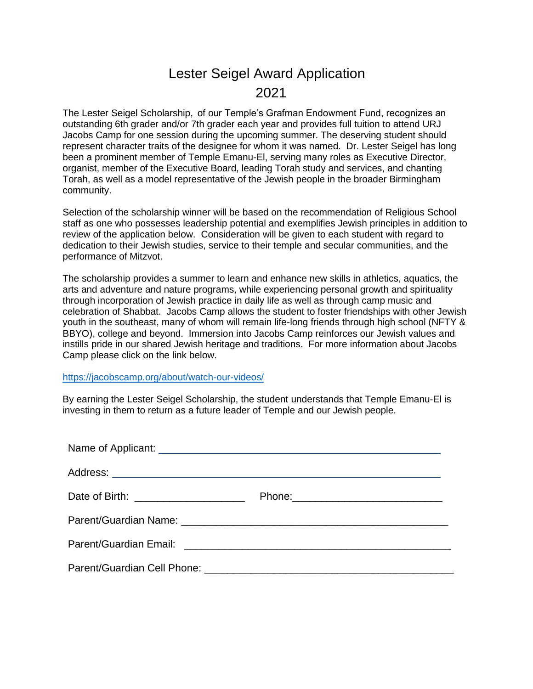## Lester Seigel Award Application 2021

The Lester Seigel Scholarship, of our Temple's Grafman Endowment Fund, recognizes an outstanding 6th grader and/or 7th grader each year and provides full tuition to attend URJ Jacobs Camp for one session during the upcoming summer. The deserving student should represent character traits of the designee for whom it was named. Dr. Lester Seigel has long been a prominent member of Temple Emanu-El, serving many roles as Executive Director, organist, member of the Executive Board, leading Torah study and services, and chanting Torah, as well as a model representative of the Jewish people in the broader Birmingham community.

Selection of the scholarship winner will be based on the recommendation of Religious School staff as one who possesses leadership potential and exemplifies Jewish principles in addition to review of the application below. Consideration will be given to each student with regard to dedication to their Jewish studies, service to their temple and secular communities, and the performance of Mitzvot.

The scholarship provides a summer to learn and enhance new skills in athletics, aquatics, the arts and adventure and nature programs, while experiencing personal growth and spirituality through incorporation of Jewish practice in daily life as well as through camp music and celebration of Shabbat. Jacobs Camp allows the student to foster friendships with other Jewish youth in the southeast, many of whom will remain life-long friends through high school (NFTY & BBYO), college and beyond. Immersion into Jacobs Camp reinforces our Jewish values and instills pride in our shared Jewish heritage and traditions. For more information about Jacobs Camp please click on the link below.

<https://jacobscamp.org/about/watch-our-videos/>

By earning the Lester Seigel Scholarship, the student understands that Temple Emanu-El is investing in them to return as a future leader of Temple and our Jewish people.

| Date of Birth: _____________________ |  |
|--------------------------------------|--|
|                                      |  |
|                                      |  |
|                                      |  |